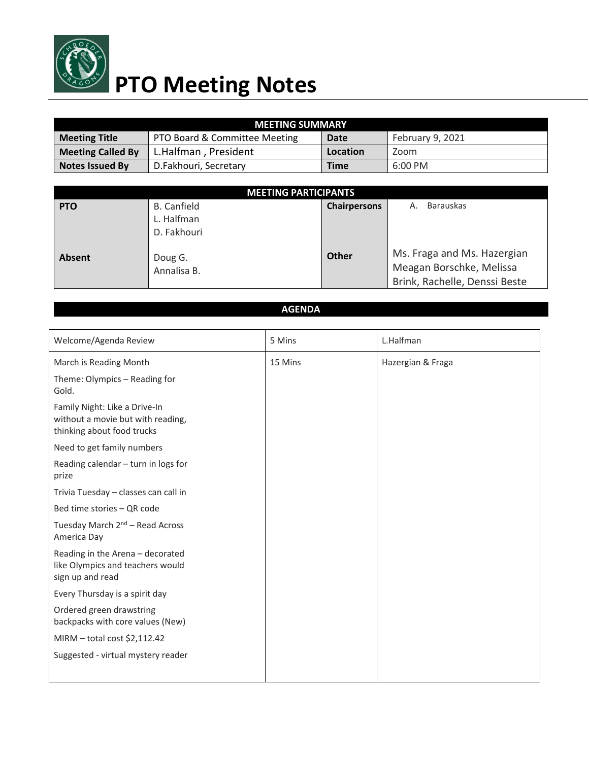

## **PTO Meeting Notes**

| <b>MEETING SUMMARY</b>   |                               |             |                  |  |  |
|--------------------------|-------------------------------|-------------|------------------|--|--|
| <b>Meeting Title</b>     | PTO Board & Committee Meeting | Date        | February 9, 2021 |  |  |
| <b>Meeting Called By</b> | L.Halfman, President          | Location    | Zoom             |  |  |
| Notes Issued By          | D.Fakhouri, Secretary         | <b>Time</b> | $6:00$ PM        |  |  |

| <b>MEETING PARTICIPANTS</b> |                        |                     |                                                                                          |  |  |
|-----------------------------|------------------------|---------------------|------------------------------------------------------------------------------------------|--|--|
| <b>PTO</b>                  | <b>B.</b> Canfield     | <b>Chairpersons</b> | <b>Barauskas</b><br>Α.                                                                   |  |  |
|                             | L. Halfman             |                     |                                                                                          |  |  |
|                             | D. Fakhouri            |                     |                                                                                          |  |  |
| <b>Absent</b>               | Doug G.<br>Annalisa B. | <b>Other</b>        | Ms. Fraga and Ms. Hazergian<br>Meagan Borschke, Melissa<br>Brink, Rachelle, Denssi Beste |  |  |

## **AGENDA**

| Welcome/Agenda Review                                                                            | 5 Mins  | L.Halfman         |
|--------------------------------------------------------------------------------------------------|---------|-------------------|
| March is Reading Month                                                                           | 15 Mins | Hazergian & Fraga |
| Theme: Olympics - Reading for<br>Gold.                                                           |         |                   |
| Family Night: Like a Drive-In<br>without a movie but with reading,<br>thinking about food trucks |         |                   |
| Need to get family numbers                                                                       |         |                   |
| Reading calendar - turn in logs for<br>prize                                                     |         |                   |
| Trivia Tuesday - classes can call in                                                             |         |                   |
| Bed time stories - QR code                                                                       |         |                   |
| Tuesday March 2 <sup>nd</sup> - Read Across<br>America Day                                       |         |                   |
| Reading in the Arena - decorated<br>like Olympics and teachers would<br>sign up and read         |         |                   |
| Every Thursday is a spirit day                                                                   |         |                   |
| Ordered green drawstring<br>backpacks with core values (New)                                     |         |                   |
| MIRM - total cost \$2,112.42                                                                     |         |                   |
| Suggested - virtual mystery reader                                                               |         |                   |